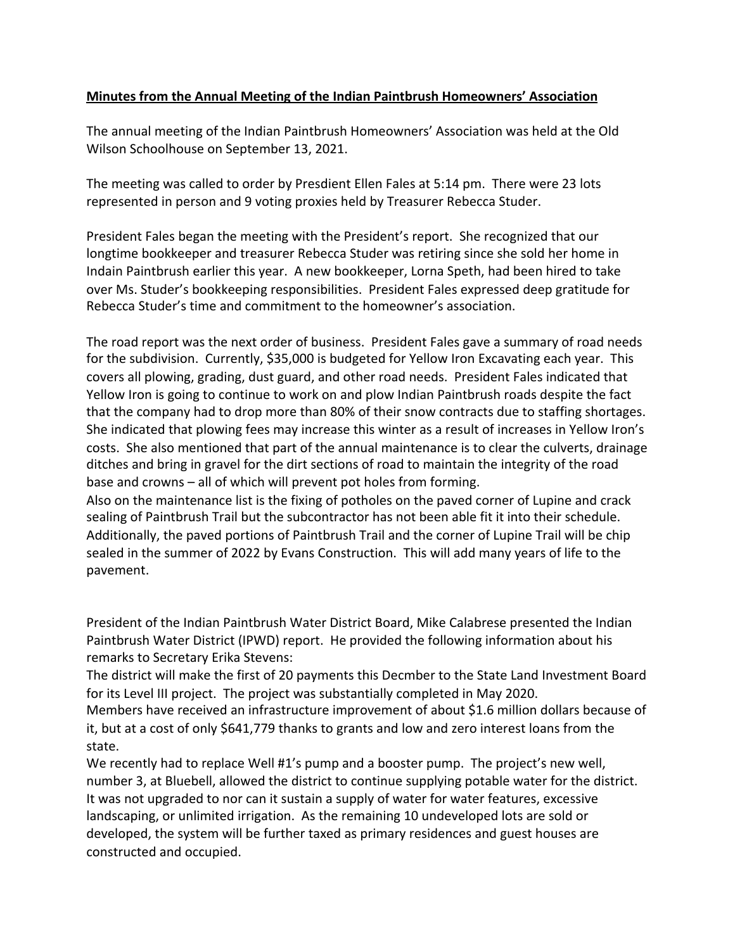## **Minutes from the Annual Meeting of the Indian Paintbrush Homeowners' Association**

The annual meeting of the Indian Paintbrush Homeowners' Association was held at the Old Wilson Schoolhouse on September 13, 2021.

The meeting was called to order by Presdient Ellen Fales at 5:14 pm. There were 23 lots represented in person and 9 voting proxies held by Treasurer Rebecca Studer.

President Fales began the meeting with the President's report. She recognized that our longtime bookkeeper and treasurer Rebecca Studer was retiring since she sold her home in Indain Paintbrush earlier this year. A new bookkeeper, Lorna Speth, had been hired to take over Ms. Studer's bookkeeping responsibilities. President Fales expressed deep gratitude for Rebecca Studer's time and commitment to the homeowner's association.

The road report was the next order of business. President Fales gave a summary of road needs for the subdivision. Currently, \$35,000 is budgeted for Yellow Iron Excavating each year. This covers all plowing, grading, dust guard, and other road needs. President Fales indicated that Yellow Iron is going to continue to work on and plow Indian Paintbrush roads despite the fact that the company had to drop more than 80% of their snow contracts due to staffing shortages. She indicated that plowing fees may increase this winter as a result of increases in Yellow Iron's costs. She also mentioned that part of the annual maintenance is to clear the culverts, drainage ditches and bring in gravel for the dirt sections of road to maintain the integrity of the road base and crowns  $-$  all of which will prevent pot holes from forming.

Also on the maintenance list is the fixing of potholes on the paved corner of Lupine and crack sealing of Paintbrush Trail but the subcontractor has not been able fit it into their schedule. Additionally, the paved portions of Paintbrush Trail and the corner of Lupine Trail will be chip sealed in the summer of 2022 by Evans Construction. This will add many years of life to the pavement.

President of the Indian Paintbrush Water District Board, Mike Calabrese presented the Indian Paintbrush Water District (IPWD) report. He provided the following information about his remarks to Secretary Erika Stevens:

The district will make the first of 20 payments this Decmber to the State Land Investment Board for its Level III project. The project was substantially completed in May 2020.

Members have received an infrastructure improvement of about \$1.6 million dollars because of it, but at a cost of only \$641,779 thanks to grants and low and zero interest loans from the state.

We recently had to replace Well #1's pump and a booster pump. The project's new well, number 3, at Bluebell, allowed the district to continue supplying potable water for the district. It was not upgraded to nor can it sustain a supply of water for water features, excessive landscaping, or unlimited irrigation. As the remaining 10 undeveloped lots are sold or developed, the system will be further taxed as primary residences and guest houses are constructed and occupied.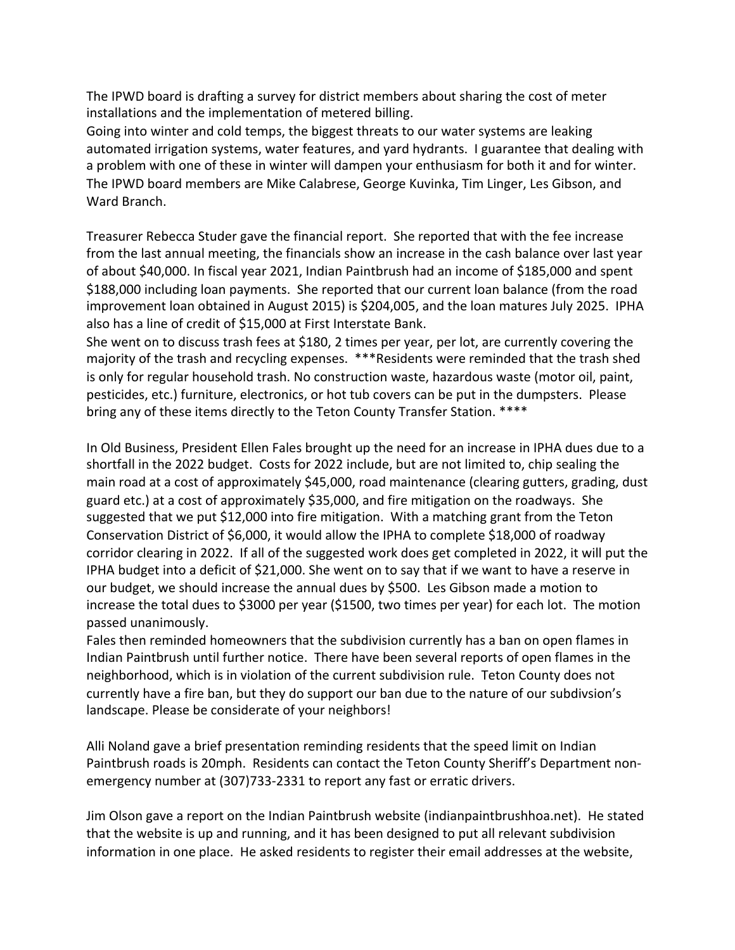The IPWD board is drafting a survey for district members about sharing the cost of meter installations and the implementation of metered billing.

Going into winter and cold temps, the biggest threats to our water systems are leaking automated irrigation systems, water features, and yard hydrants. I guarantee that dealing with a problem with one of these in winter will dampen your enthusiasm for both it and for winter. The IPWD board members are Mike Calabrese, George Kuvinka, Tim Linger, Les Gibson, and Ward Branch.

Treasurer Rebecca Studer gave the financial report. She reported that with the fee increase from the last annual meeting, the financials show an increase in the cash balance over last year of about \$40,000. In fiscal year 2021, Indian Paintbrush had an income of \$185,000 and spent \$188,000 including loan payments. She reported that our current loan balance (from the road improvement loan obtained in August 2015) is \$204,005, and the loan matures July 2025. IPHA also has a line of credit of \$15,000 at First Interstate Bank.

She went on to discuss trash fees at \$180, 2 times per year, per lot, are currently covering the majority of the trash and recycling expenses. \*\*\*Residents were reminded that the trash shed is only for regular household trash. No construction waste, hazardous waste (motor oil, paint, pesticides, etc.) furniture, electronics, or hot tub covers can be put in the dumpsters. Please bring any of these items directly to the Teton County Transfer Station. \*\*\*\*

In Old Business, President Ellen Fales brought up the need for an increase in IPHA dues due to a shortfall in the 2022 budget. Costs for 2022 include, but are not limited to, chip sealing the main road at a cost of approximately \$45,000, road maintenance (clearing gutters, grading, dust guard etc.) at a cost of approximately \$35,000, and fire mitigation on the roadways. She suggested that we put \$12,000 into fire mitigation. With a matching grant from the Teton Conservation District of \$6,000, it would allow the IPHA to complete \$18,000 of roadway corridor clearing in 2022. If all of the suggested work does get completed in 2022, it will put the IPHA budget into a deficit of \$21,000. She went on to say that if we want to have a reserve in our budget, we should increase the annual dues by \$500. Les Gibson made a motion to increase the total dues to \$3000 per year (\$1500, two times per year) for each lot. The motion passed unanimously.

Fales then reminded homeowners that the subdivision currently has a ban on open flames in Indian Paintbrush until further notice. There have been several reports of open flames in the neighborhood, which is in violation of the current subdivision rule. Teton County does not currently have a fire ban, but they do support our ban due to the nature of our subdivsion's landscape. Please be considerate of your neighbors!

Alli Noland gave a brief presentation reminding residents that the speed limit on Indian Paintbrush roads is 20mph. Residents can contact the Teton County Sheriff's Department nonemergency number at (307)733-2331 to report any fast or erratic drivers.

Jim Olson gave a report on the Indian Paintbrush website (indianpaintbrushhoa.net). He stated that the website is up and running, and it has been designed to put all relevant subdivision information in one place. He asked residents to register their email addresses at the website,